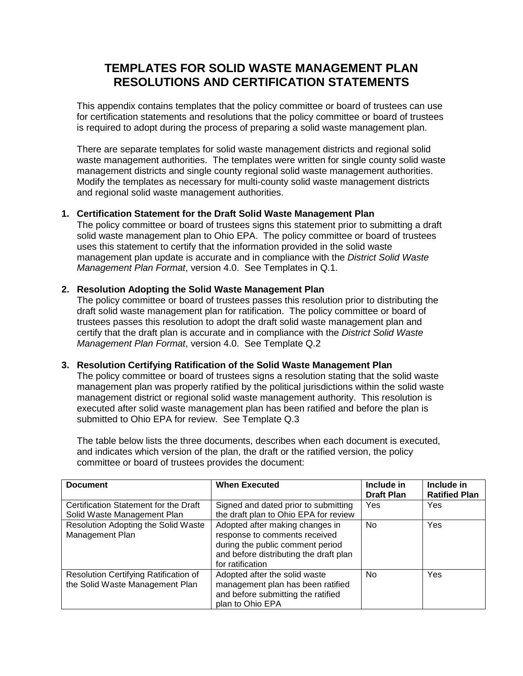# **TEMPLATES FOR SOLID WASTE MANAGEMENT PLAN RESOLUTIONS AND CERTIFICATION STATEMENTS**

This appendix contains templates that the policy committee or board of trustees can use for certification statements and resolutions that the policy committee or board of trustees is required to adopt during the process of preparing a solid waste management plan.

There are separate templates for solid waste management districts and regional solid waste management authorities. The templates were written for single county solid waste management districts and single county regional solid waste management authorities. Modify the templates as necessary for multi-county solid waste management districts and regional solid waste management authorities.

### **1. Certification Statement for the Draft Solid Waste Management Plan**

The policy committee or board of trustees signs this statement prior to submitting a draft solid waste management plan to Ohio EPA. The policy committee or board of trustees uses this statement to certify that the information provided in the solid waste management plan update is accurate and in compliance with the *District Solid Waste Management Plan Format*, version 4.0. See Templates in Q.1.

### **2. Resolution Adopting the Solid Waste Management Plan**

The policy committee or board of trustees passes this resolution prior to distributing the draft solid waste management plan for ratification. The policy committee or board of trustees passes this resolution to adopt the draft solid waste management plan and certify that the draft plan is accurate and in compliance with the *District Solid Waste Management Plan Format*, version 4.0. See Template Q.2

#### **3. Resolution Certifying Ratification of the Solid Waste Management Plan**

The policy committee or board of trustees signs a resolution stating that the solid waste management plan was properly ratified by the political jurisdictions within the solid waste management district or regional solid waste management authority. This resolution is executed after solid waste management plan has been ratified and before the plan is submitted to Ohio EPA for review. See Template Q.3

The table below lists the three documents, describes when each document is executed, and indicates which version of the plan, the draft or the ratified version, the policy committee or board of trustees provides the document:

| <b>Document</b>                                                          | <b>When Executed</b>                                                                                                                                               | Include in<br><b>Draft Plan</b> | Include in<br><b>Ratified Plan</b> |
|--------------------------------------------------------------------------|--------------------------------------------------------------------------------------------------------------------------------------------------------------------|---------------------------------|------------------------------------|
| Certification Statement for the Draft<br>Solid Waste Management Plan     | Signed and dated prior to submitting<br>the draft plan to Ohio EPA for review                                                                                      | Yes                             | Yes                                |
| Resolution Adopting the Solid Waste<br>Management Plan                   | Adopted after making changes in<br>response to comments received<br>during the public comment period<br>and before distributing the draft plan<br>for ratification | <b>No</b>                       | Yes                                |
| Resolution Certifying Ratification of<br>the Solid Waste Management Plan | Adopted after the solid waste<br>management plan has been ratified<br>and before submitting the ratified<br>plan to Ohio EPA                                       | No                              | Yes                                |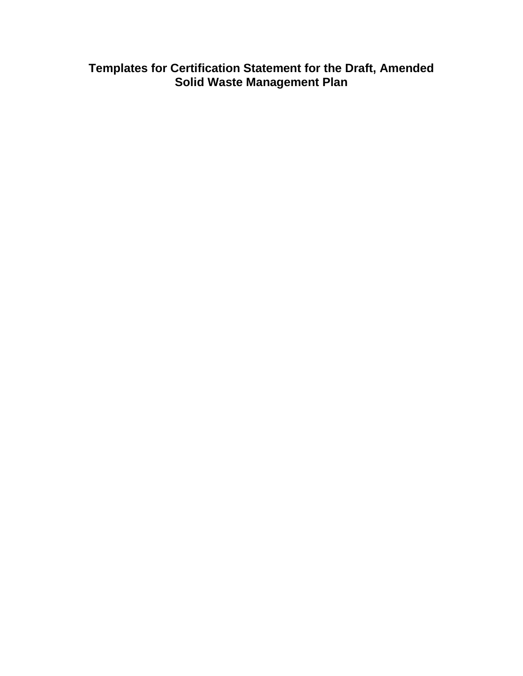**Templates for Certification Statement for the Draft, Amended Solid Waste Management Plan**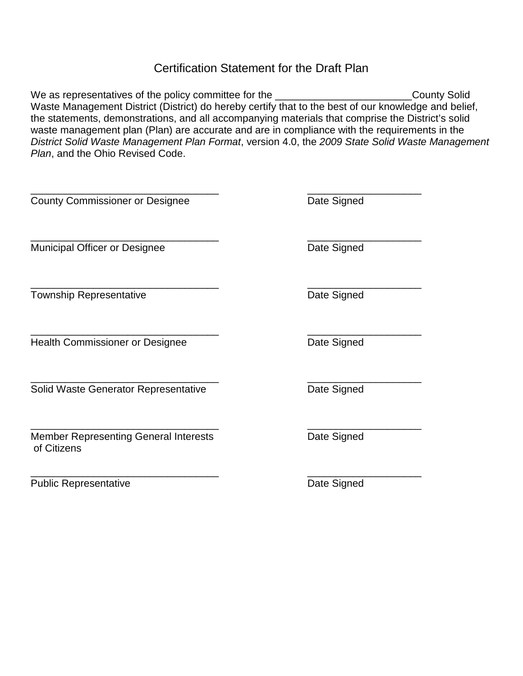## Certification Statement for the Draft Plan

We as representatives of the policy committee for the **commence and the contract of the county Solid** Waste Management District (District) do hereby certify that to the best of our knowledge and belief, the statements, demonstrations, and all accompanying materials that comprise the District's solid waste management plan (Plan) are accurate and are in compliance with the requirements in the *District Solid Waste Management Plan Format*, version 4.0, the *2009 State Solid Waste Management Plan*, and the Ohio Revised Code.

| <b>County Commissioner or Designee</b>                      | Date Signed |
|-------------------------------------------------------------|-------------|
| <b>Municipal Officer or Designee</b>                        | Date Signed |
| <b>Township Representative</b>                              | Date Signed |
| <b>Health Commissioner or Designee</b>                      | Date Signed |
| Solid Waste Generator Representative                        | Date Signed |
| <b>Member Representing General Interests</b><br>of Citizens | Date Signed |
| <b>Public Representative</b>                                | Date Signed |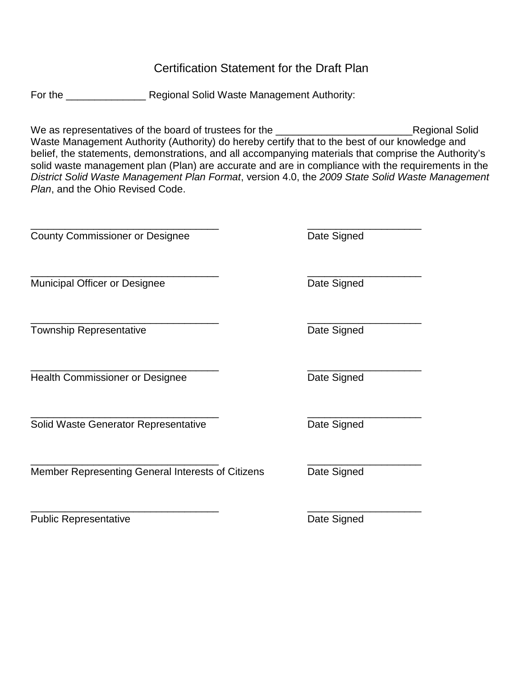## Certification Statement for the Draft Plan

For the \_\_\_\_\_\_\_\_\_\_\_\_\_\_\_\_\_\_\_\_\_\_\_\_ Regional Solid Waste Management Authority:

We as representatives of the board of trustees for the example of the state of Regional Solid Waste Management Authority (Authority) do hereby certify that to the best of our knowledge and belief, the statements, demonstrations, and all accompanying materials that comprise the Authority's solid waste management plan (Plan) are accurate and are in compliance with the requirements in the *District Solid Waste Management Plan Format*, version 4.0, the *2009 State Solid Waste Management Plan*, and the Ohio Revised Code.

County Commissioner or Designee<br>
Date Signed \_\_\_\_\_\_\_\_\_\_\_\_\_\_\_\_\_\_\_\_\_\_\_\_\_\_\_\_\_\_\_\_\_ \_\_\_\_\_\_\_\_\_\_\_\_\_\_\_\_\_\_\_\_ Municipal Officer or Designee **Date Signed** Date Signed \_\_\_\_\_\_\_\_\_\_\_\_\_\_\_\_\_\_\_\_\_\_\_\_\_\_\_\_\_\_\_\_\_ \_\_\_\_\_\_\_\_\_\_\_\_\_\_\_\_\_\_\_\_ Township Representative **Date Signed Date Signed** \_\_\_\_\_\_\_\_\_\_\_\_\_\_\_\_\_\_\_\_\_\_\_\_\_\_\_\_\_\_\_\_\_ \_\_\_\_\_\_\_\_\_\_\_\_\_\_\_\_\_\_\_\_ Health Commissioner or Designee **Date Signed** Date Signed \_\_\_\_\_\_\_\_\_\_\_\_\_\_\_\_\_\_\_\_\_\_\_\_\_\_\_\_\_\_\_\_\_ \_\_\_\_\_\_\_\_\_\_\_\_\_\_\_\_\_\_\_\_ Solid Waste Generator Representative **Brand Solid Waste Generator Representative** Date Signed \_\_\_\_\_\_\_\_\_\_\_\_\_\_\_\_\_\_\_\_\_\_\_\_\_\_\_\_\_\_\_\_\_ \_\_\_\_\_\_\_\_\_\_\_\_\_\_\_\_\_\_\_\_ Member Representing General Interests of Citizens Date Signed

\_\_\_\_\_\_\_\_\_\_\_\_\_\_\_\_\_\_\_\_\_\_\_\_\_\_\_\_\_\_\_\_\_ \_\_\_\_\_\_\_\_\_\_\_\_\_\_\_\_\_\_\_\_

Public Representative Date Signed

\_\_\_\_\_\_\_\_\_\_\_\_\_\_\_\_\_\_\_\_\_\_\_\_\_\_\_\_\_\_\_\_\_ \_\_\_\_\_\_\_\_\_\_\_\_\_\_\_\_\_\_\_\_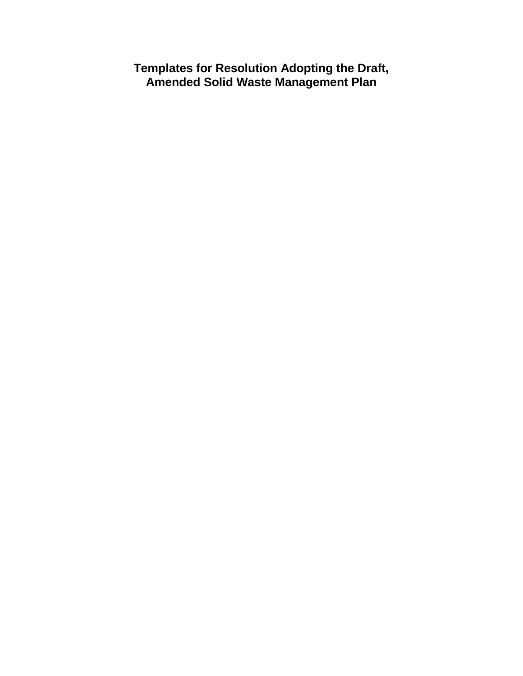**Templates for Resolution Adopting the Draft, Amended Solid Waste Management Plan**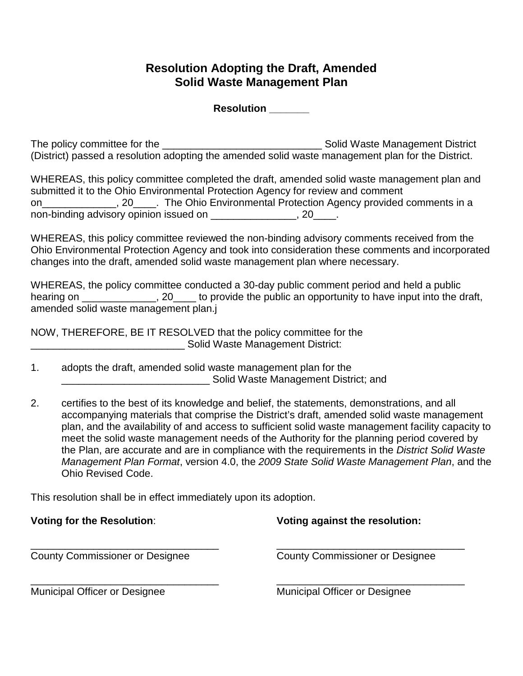## **Resolution Adopting the Draft, Amended Solid Waste Management Plan**

**Resolution \_\_\_\_\_\_\_**

The policy committee for the \_\_\_\_\_\_\_\_\_\_\_\_\_\_\_\_\_\_\_\_\_\_\_\_\_\_\_\_ Solid Waste Management District (District) passed a resolution adopting the amended solid waste management plan for the District.

WHEREAS, this policy committee completed the draft, amended solid waste management plan and submitted it to the Ohio Environmental Protection Agency for review and comment on\_\_\_\_\_\_\_\_\_\_\_\_\_, 20\_\_\_\_. The Ohio Environmental Protection Agency provided comments in a non-binding advisory opinion issued on \_\_\_\_\_\_\_\_\_\_\_\_\_\_\_, 20\_\_\_\_.

WHEREAS, this policy committee reviewed the non-binding advisory comments received from the Ohio Environmental Protection Agency and took into consideration these comments and incorporated changes into the draft, amended solid waste management plan where necessary.

WHEREAS, the policy committee conducted a 30-day public comment period and held a public hearing on  $\sim$ , 20  $\sim$  to provide the public an opportunity to have input into the draft, amended solid waste management plan.j

NOW, THEREFORE, BE IT RESOLVED that the policy committee for the \_\_\_\_\_\_\_\_\_\_\_\_\_\_\_\_\_\_\_\_\_\_\_\_\_\_\_ Solid Waste Management District:

- 1. adopts the draft, amended solid waste management plan for the \_\_\_\_\_\_\_\_\_\_\_\_\_\_\_\_\_\_\_\_\_\_\_\_\_\_ Solid Waste Management District; and
- 2. certifies to the best of its knowledge and belief, the statements, demonstrations, and all accompanying materials that comprise the District's draft, amended solid waste management plan, and the availability of and access to sufficient solid waste management facility capacity to meet the solid waste management needs of the Authority for the planning period covered by the Plan, are accurate and are in compliance with the requirements in the *District Solid Waste Management Plan Format*, version 4.0, the *2009 State Solid Waste Management Plan*, and the Ohio Revised Code.

This resolution shall be in effect immediately upon its adoption.

| <b>Voting for the Resolution:</b>      | Voting against the resolution:         |
|----------------------------------------|----------------------------------------|
| <b>County Commissioner or Designee</b> | <b>County Commissioner or Designee</b> |
| <b>Municipal Officer or Designee</b>   | <b>Municipal Officer or Designee</b>   |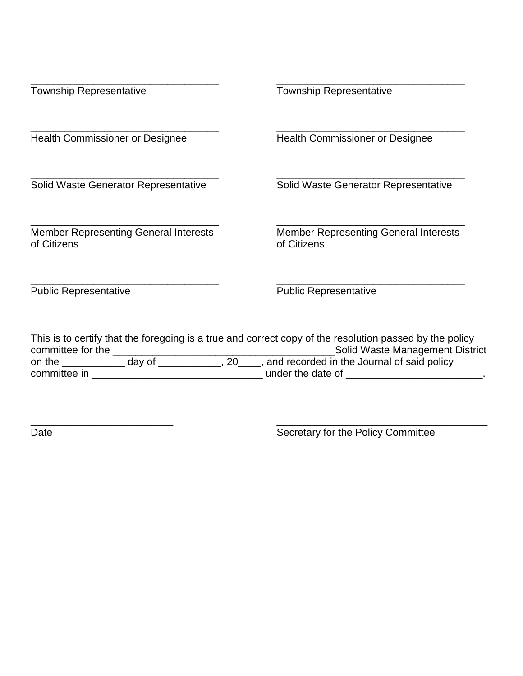| <b>Township Representative</b>                              | <b>Township Representative</b>                                                                                                             |
|-------------------------------------------------------------|--------------------------------------------------------------------------------------------------------------------------------------------|
| <b>Health Commissioner or Designee</b>                      | <b>Health Commissioner or Designee</b>                                                                                                     |
| Solid Waste Generator Representative                        | Solid Waste Generator Representative                                                                                                       |
| <b>Member Representing General Interests</b><br>of Citizens | <b>Member Representing General Interests</b><br>of Citizens                                                                                |
| <b>Public Representative</b>                                | <b>Public Representative</b>                                                                                                               |
| committee for the ___________                               | This is to certify that the foregoing is a true and correct copy of the resolution passed by the policy<br>Solid Waste Management District |

\_\_\_\_\_\_\_\_\_\_\_\_\_\_\_\_\_\_\_\_\_\_\_\_\_ \_\_\_\_\_\_\_\_\_\_\_\_\_\_\_\_\_\_\_\_\_\_\_\_\_\_\_\_\_\_\_\_\_\_\_\_\_

Date **Secretary for the Policy Committee**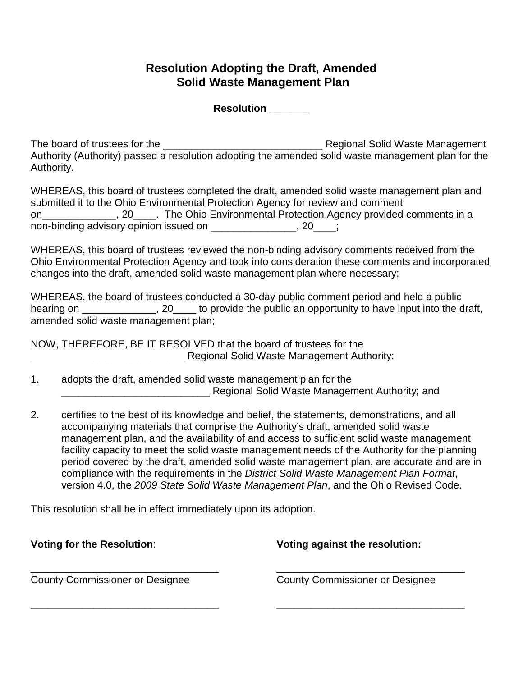## **Resolution Adopting the Draft, Amended Solid Waste Management Plan**

**Resolution \_\_\_\_\_\_\_**

The board of trustees for the \_\_\_\_\_\_\_\_\_\_\_\_\_\_\_\_\_\_\_\_\_\_\_\_\_\_\_\_ Regional Solid Waste Management Authority (Authority) passed a resolution adopting the amended solid waste management plan for the Authority.

WHEREAS, this board of trustees completed the draft, amended solid waste management plan and submitted it to the Ohio Environmental Protection Agency for review and comment on \_\_\_\_\_\_\_\_\_\_\_\_, 20\_\_\_\_\_. The Ohio Environmental Protection Agency provided comments in a non-binding advisory opinion issued on \_\_\_\_\_\_\_\_\_\_\_\_\_\_\_, 20\_\_\_;

WHEREAS, this board of trustees reviewed the non-binding advisory comments received from the Ohio Environmental Protection Agency and took into consideration these comments and incorporated changes into the draft, amended solid waste management plan where necessary;

WHEREAS, the board of trustees conducted a 30-day public comment period and held a public hearing on \_\_\_\_\_\_\_\_\_\_\_\_, 20\_\_\_\_ to provide the public an opportunity to have input into the draft, amended solid waste management plan;

NOW, THEREFORE, BE IT RESOLVED that the board of trustees for the \_\_\_\_\_\_\_\_\_\_\_\_\_\_\_\_\_\_\_\_\_\_\_\_\_\_\_ Regional Solid Waste Management Authority:

- 1. adopts the draft, amended solid waste management plan for the \_\_\_\_\_\_\_\_\_\_\_\_\_\_\_\_\_\_\_\_\_\_\_\_\_\_ Regional Solid Waste Management Authority; and
- 2. certifies to the best of its knowledge and belief, the statements, demonstrations, and all accompanying materials that comprise the Authority's draft, amended solid waste management plan, and the availability of and access to sufficient solid waste management facility capacity to meet the solid waste management needs of the Authority for the planning period covered by the draft, amended solid waste management plan, are accurate and are in compliance with the requirements in the *District Solid Waste Management Plan Format*, version 4.0, the *2009 State Solid Waste Management Plan*, and the Ohio Revised Code.

This resolution shall be in effect immediately upon its adoption.

| <b>Voting for the Resolution:</b>      | Voting against the resolution:         |
|----------------------------------------|----------------------------------------|
| <b>County Commissioner or Designee</b> | <b>County Commissioner or Designee</b> |
|                                        |                                        |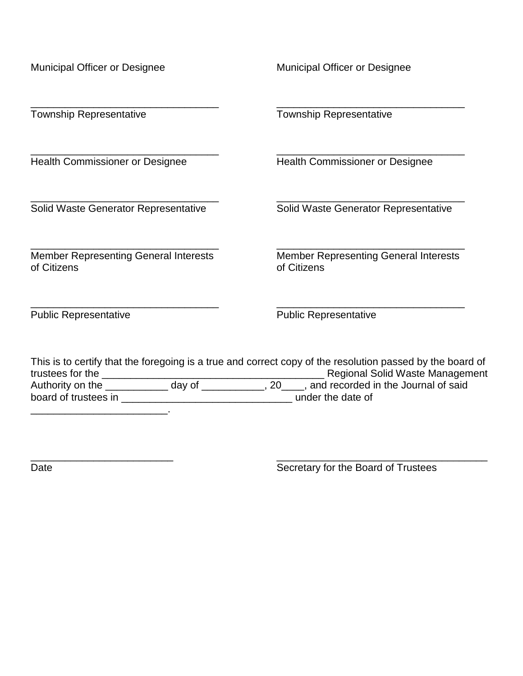| Municipal Officer or Designee                               | Municipal Officer or Designee                                                                                                                                                                         |
|-------------------------------------------------------------|-------------------------------------------------------------------------------------------------------------------------------------------------------------------------------------------------------|
| <b>Township Representative</b>                              | <b>Township Representative</b>                                                                                                                                                                        |
| <b>Health Commissioner or Designee</b>                      | <b>Health Commissioner or Designee</b>                                                                                                                                                                |
| Solid Waste Generator Representative                        | Solid Waste Generator Representative                                                                                                                                                                  |
| <b>Member Representing General Interests</b><br>of Citizens | <b>Member Representing General Interests</b><br>of Citizens                                                                                                                                           |
| <b>Public Representative</b>                                | <b>Public Representative</b>                                                                                                                                                                          |
| trustees for the<br>day of<br>Authority on the              | This is to certify that the foregoing is a true and correct copy of the resolution passed by the board of<br><b>Regional Solid Waste Management</b><br>., 20____, and recorded in the Journal of said |

board of trustees in \_\_\_\_\_\_\_\_\_\_\_\_\_\_\_\_\_\_\_\_\_\_\_\_\_\_\_\_\_\_ under the date of

 $\mathcal{L}_\text{max}$  and  $\mathcal{L}_\text{max}$ 

\_\_\_\_\_\_\_\_\_\_\_\_\_\_\_\_\_\_\_\_\_\_\_\_\_ \_\_\_\_\_\_\_\_\_\_\_\_\_\_\_\_\_\_\_\_\_\_\_\_\_\_\_\_\_\_\_\_\_\_\_\_\_ Date Secretary for the Board of Trustees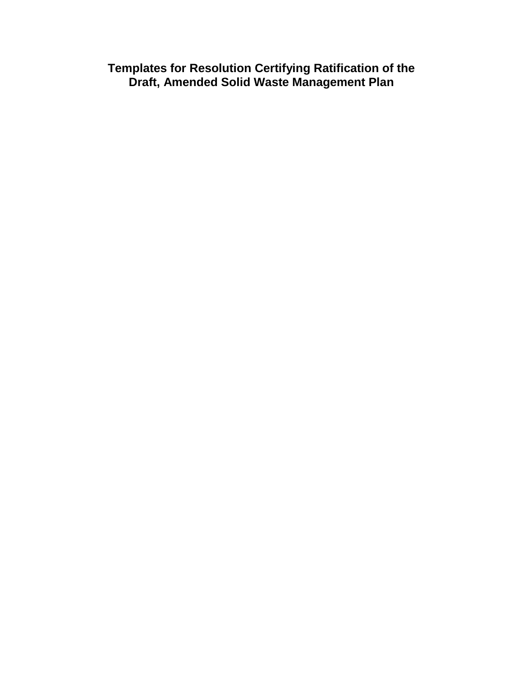**Templates for Resolution Certifying Ratification of the Draft, Amended Solid Waste Management Plan**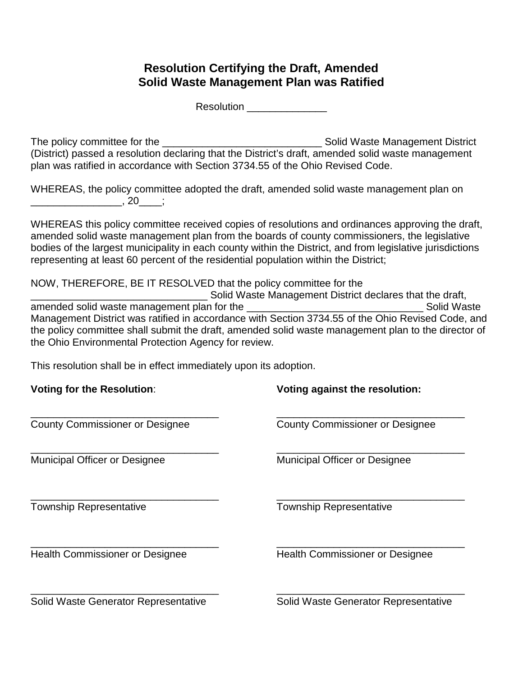# **Resolution Certifying the Draft, Amended Solid Waste Management Plan was Ratified**

Resolution \_\_\_\_\_\_\_\_\_\_\_\_\_\_\_\_\_\_

The policy committee for the \_\_\_\_\_\_\_\_\_\_\_\_\_\_\_\_\_\_\_\_\_\_\_\_\_\_\_\_ Solid Waste Management District (District) passed a resolution declaring that the District's draft, amended solid waste management plan was ratified in accordance with Section 3734.55 of the Ohio Revised Code.

WHEREAS, the policy committee adopted the draft, amended solid waste management plan on \_\_\_\_\_\_\_\_\_\_\_\_\_\_\_\_, 20\_\_\_\_;

WHEREAS this policy committee received copies of resolutions and ordinances approving the draft, amended solid waste management plan from the boards of county commissioners, the legislative bodies of the largest municipality in each county within the District, and from legislative jurisdictions representing at least 60 percent of the residential population within the District;

NOW, THEREFORE, BE IT RESOLVED that the policy committee for the

\_\_\_\_\_\_\_\_\_\_\_\_\_\_\_\_\_\_\_\_\_\_\_\_\_\_\_\_\_Solid Waste Management District declares that the draft,<br>aste management plan for the amended solid waste management plan for the \_\_\_\_\_\_\_\_\_\_\_\_\_\_\_\_\_\_\_\_\_\_\_\_\_\_\_\_\_\_\_ Solid Waste Management District was ratified in accordance with Section 3734.55 of the Ohio Revised Code, and the policy committee shall submit the draft, amended solid waste management plan to the director of the Ohio Environmental Protection Agency for review.

This resolution shall be in effect immediately upon its adoption.

| <b>Voting for the Resolution:</b>      | Voting against the resolution:         |
|----------------------------------------|----------------------------------------|
| <b>County Commissioner or Designee</b> | <b>County Commissioner or Designee</b> |
| Municipal Officer or Designee          | Municipal Officer or Designee          |
| <b>Township Representative</b>         | <b>Township Representative</b>         |
| <b>Health Commissioner or Designee</b> | <b>Health Commissioner or Designee</b> |
|                                        |                                        |

Solid Waste Generator Representative Solid Waste Generator Representative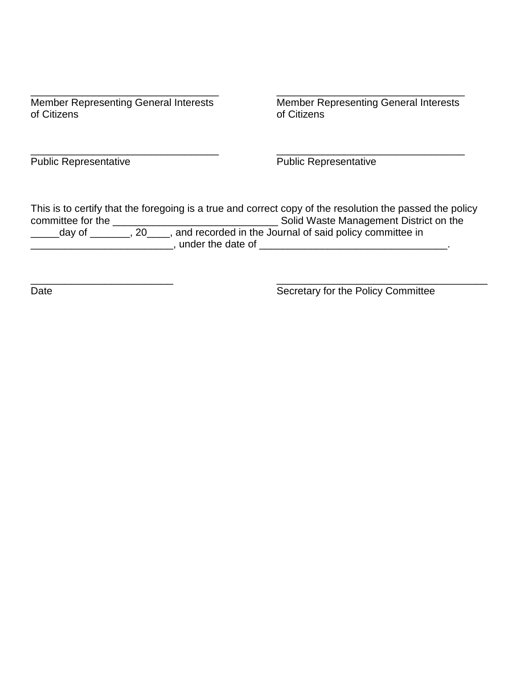| <b>Member Representing General Interests</b> | <b>Member Representing General Interests</b> |
|----------------------------------------------|----------------------------------------------|
| of Citizens                                  | of Citizens                                  |

\_\_\_\_\_\_\_\_\_\_\_\_\_\_\_\_\_\_\_\_\_\_\_\_\_\_\_\_\_\_\_\_\_ \_\_\_\_\_\_\_\_\_\_\_\_\_\_\_\_\_\_\_\_\_\_\_\_\_\_\_\_\_\_\_\_\_ Public Representative **Public Representative** 

This is to certify that the foregoing is a true and correct copy of the resolution the passed the policy committee for the \_\_\_\_\_\_\_\_\_\_\_\_\_\_\_\_\_\_\_\_\_\_\_\_\_\_\_\_\_ Solid Waste Management District on the \_\_\_\_\_day of \_\_\_\_\_\_\_, 20\_\_\_\_, and recorded in the Journal of said policy committee in \_\_\_\_\_\_\_\_\_\_\_\_\_\_\_\_\_\_\_\_\_\_\_\_\_, under the date of \_\_\_\_\_\_\_\_\_\_\_\_\_\_\_\_\_\_\_\_\_\_\_\_\_\_\_\_\_\_\_\_\_.

\_\_\_\_\_\_\_\_\_\_\_\_\_\_\_\_\_\_\_\_\_\_\_\_\_ \_\_\_\_\_\_\_\_\_\_\_\_\_\_\_\_\_\_\_\_\_\_\_\_\_\_\_\_\_\_\_\_\_\_\_\_\_ Date **Secretary for the Policy Committee**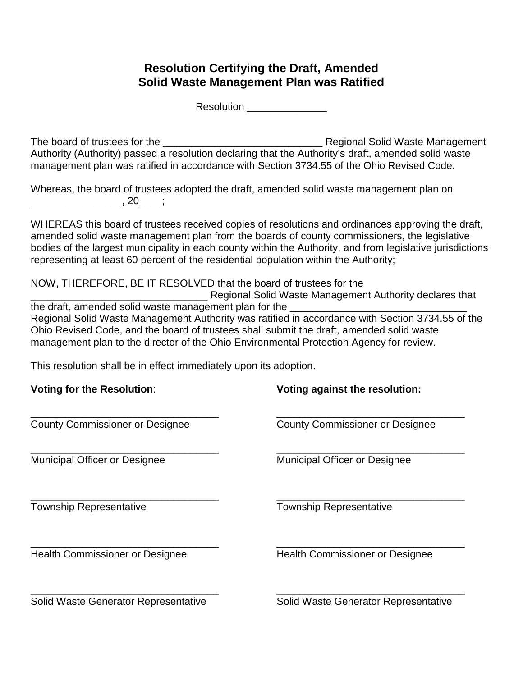## **Resolution Certifying the Draft, Amended Solid Waste Management Plan was Ratified**

Resolution \_\_\_\_\_\_\_\_\_\_\_\_\_\_\_\_\_\_

The board of trustees for the \_\_\_\_\_\_\_\_\_\_\_\_\_\_\_\_\_\_\_\_\_\_\_\_\_\_\_\_ Regional Solid Waste Management Authority (Authority) passed a resolution declaring that the Authority's draft, amended solid waste management plan was ratified in accordance with Section 3734.55 of the Ohio Revised Code.

Whereas, the board of trustees adopted the draft, amended solid waste management plan on \_\_\_\_\_\_\_\_\_\_\_\_\_\_\_\_, 20\_\_\_\_;

WHEREAS this board of trustees received copies of resolutions and ordinances approving the draft, amended solid waste management plan from the boards of county commissioners, the legislative bodies of the largest municipality in each county within the Authority, and from legislative jurisdictions representing at least 60 percent of the residential population within the Authority;

NOW, THEREFORE, BE IT RESOLVED that the board of trustees for the

**EXECUTE:** Regional Solid Waste Management Authority declares that the draft, amended solid waste management plan for the  $\_$ Regional Solid Waste Management Authority was ratified in accordance with Section 3734.55 of the Ohio Revised Code, and the board of trustees shall submit the draft, amended solid waste management plan to the director of the Ohio Environmental Protection Agency for review.

This resolution shall be in effect immediately upon its adoption.

| <b>Voting for the Resolution:</b>      | Voting against the resolution:         |
|----------------------------------------|----------------------------------------|
| <b>County Commissioner or Designee</b> | <b>County Commissioner or Designee</b> |
| <b>Municipal Officer or Designee</b>   | Municipal Officer or Designee          |
| <b>Township Representative</b>         | <b>Township Representative</b>         |
| <b>Health Commissioner or Designee</b> | <b>Health Commissioner or Designee</b> |
|                                        |                                        |

Solid Waste Generator Representative Solid Waste Generator Representative